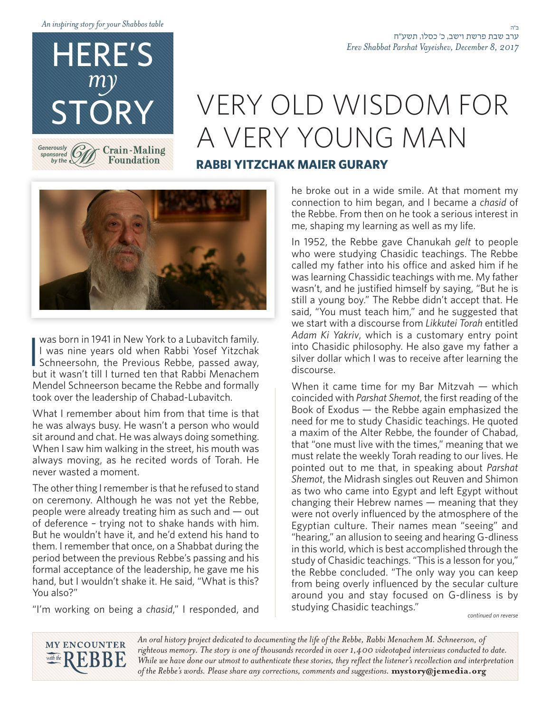*table Shabbos your for story inspiring An*

HERE'S

*my*

STORY

**Crain-Maling Foundation** 

*Generously sponsored* by the  $\vee$ 

# VERY OLD WISDOM FOR A VERY YOUNG MAN

### **RABBI YITZCHAK MAIER GURARY**



was born in 1941 in New York to a Lubavitch family.<br>I was nine years old when Rabbi Yosef Yitzchak<br>Schneersohn, the Previous Rebbe, passed away,<br>but it wasn't till I turned ton that Pabbi Monacham was born in 1941 in New York to a Lubavitch family. I was nine years old when Rabbi Yosef Yitzchak but it wasn't till I turned ten that Rabbi Menachem Mendel Schneerson became the Rebbe and formally took over the leadership of Chabad-Lubavitch.

What I remember about him from that time is that he was always busy. He wasn't a person who would sit around and chat. He was always doing something. When I saw him walking in the street, his mouth was always moving, as he recited words of Torah. He never wasted a moment.

The other thing I remember is that he refused to stand on ceremony. Although he was not yet the Rebbe, people were already treating him as such and  $-$  out of deference - trying not to shake hands with him. But he wouldn't have it, and he'd extend his hand to them. I remember that once, on a Shabbat during the period between the previous Rebbe's passing and his formal acceptance of the leadership, he gave me his hand, but I wouldn't shake it. He said, "What is this? You also?"

"I'm working on being a chasid," I responded, and

he broke out in a wide smile. At that moment my connection to him began, and I became a *chasid* of the Rebbe. From then on he took a serious interest in me, shaping my learning as well as my life.

In 1952, the Rebbe gave Chanukah gelt to people who were studying Chasidic teachings. The Rebbe called my father into his office and asked him if he was learning Chassidic teachings with me. My father wasn't, and he justified himself by saying, "But he is still a young boy." The Rebbe didn't accept that. He said, "You must teach him," and he suggested that we start with a discourse from Likkutei Torah entitled Adam Ki Yakriv, which is a customary entry point into Chasidic philosophy. He also gave my father a silver dollar which I was to receive after learning the discourse.

When it came time for my Bar Mitzvah  $-$  which the of reading of the *coincided* with *Parshat Shemot*, the first reading of the Book of Exodus  $-$  the Rebbe again emphasized the need for me to study Chasidic teachings. He quoted a maxim of the Alter Rebbe, the founder of Chabad, that "one must live with the times," meaning that we must relate the weekly Torah reading to our lives. He pointed out to me that, in speaking about Parshat Shemot, the Midrash singles out Reuven and Shimon as two who came into Egypt and left Egypt without changing their Hebrew names  $-$  meaning that they were not overly influenced by the atmosphere of the Egyptian culture. Their names mean "seeing" and "hearing," an allusion to seeing and hearing G-dliness in this world, which is best accomplished through the study of Chasidic teachings. "This is a lesson for you," the Rebbe concluded. "The only way you can keep from being overly influenced by the secular culture around you and stay focused on G-dliness is by studying Chasidic teachings."

*reverse on continued*



An oral history project dedicated to documenting the life of the Rebbe, Rabbi Menachem M. Schneerson, of righteous memory. The story is one of thousands recorded in over 1,400 videotaped interviews conducted to date. While we have done our utmost to authenticate these stories, they reflect the listener's recollection and interpretation of the Rebbe's words. Please share any corrections, comments and suggestions. mystory@jemedia.org